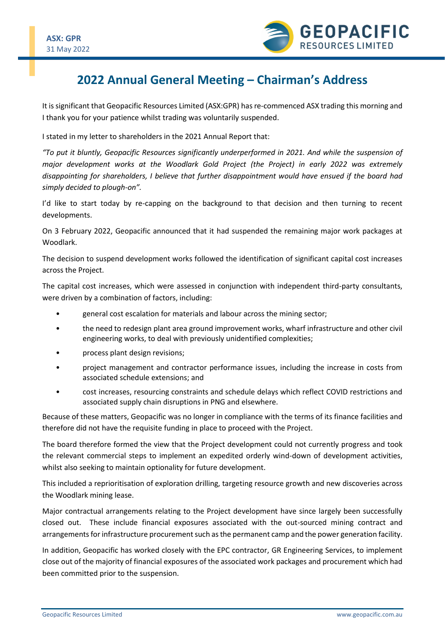

## **2022 Annual General Meeting – Chairman's Address**

It is significant that Geopacific Resources Limited (ASX:GPR) has re-commenced ASX trading this morning and I thank you for your patience whilst trading was voluntarily suspended.

I stated in my letter to shareholders in the 2021 Annual Report that:

*"To put it bluntly, Geopacific Resources significantly underperformed in 2021. And while the suspension of major development works at the Woodlark Gold Project (the Project) in early 2022 was extremely disappointing for shareholders, I believe that further disappointment would have ensued if the board had simply decided to plough-on".*

I'd like to start today by re-capping on the background to that decision and then turning to recent developments.

On 3 February 2022, Geopacific announced that it had suspended the remaining major work packages at Woodlark.

The decision to suspend development works followed the identification of significant capital cost increases across the Project.

The capital cost increases, which were assessed in conjunction with independent third-party consultants, were driven by a combination of factors, including:

- general cost escalation for materials and labour across the mining sector;
- the need to redesign plant area ground improvement works, wharf infrastructure and other civil engineering works, to deal with previously unidentified complexities;
- process plant design revisions;
- project management and contractor performance issues, including the increase in costs from associated schedule extensions; and
- cost increases, resourcing constraints and schedule delays which reflect COVID restrictions and associated supply chain disruptions in PNG and elsewhere.

Because of these matters, Geopacific was no longer in compliance with the terms of its finance facilities and therefore did not have the requisite funding in place to proceed with the Project.

The board therefore formed the view that the Project development could not currently progress and took the relevant commercial steps to implement an expedited orderly wind-down of development activities, whilst also seeking to maintain optionality for future development.

This included a reprioritisation of exploration drilling, targeting resource growth and new discoveries across the Woodlark mining lease.

Major contractual arrangements relating to the Project development have since largely been successfully closed out. These include financial exposures associated with the out-sourced mining contract and arrangements for infrastructure procurement such as the permanent camp and the power generation facility.

In addition, Geopacific has worked closely with the EPC contractor, GR Engineering Services, to implement close out of the majority of financial exposures of the associated work packages and procurement which had been committed prior to the suspension.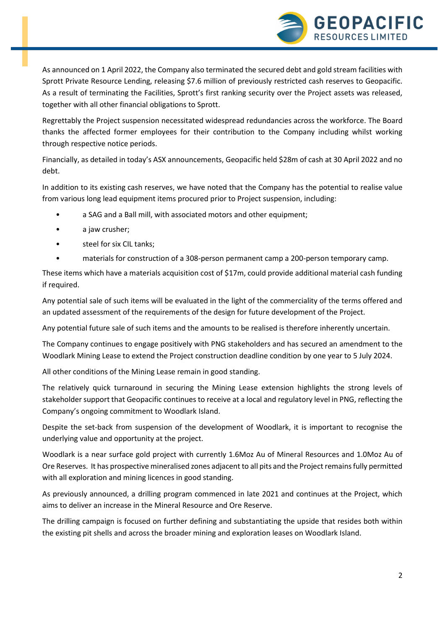

As announced on 1 April 2022, the Company also terminated the secured debt and gold stream facilities with Sprott Private Resource Lending, releasing \$7.6 million of previously restricted cash reserves to Geopacific. As a result of terminating the Facilities, Sprott's first ranking security over the Project assets was released, together with all other financial obligations to Sprott.

Regrettably the Project suspension necessitated widespread redundancies across the workforce. The Board thanks the affected former employees for their contribution to the Company including whilst working through respective notice periods.

Financially, as detailed in today's ASX announcements, Geopacific held \$28m of cash at 30 April 2022 and no debt.

In addition to its existing cash reserves, we have noted that the Company has the potential to realise value from various long lead equipment items procured prior to Project suspension, including:

- a SAG and a Ball mill, with associated motors and other equipment;
- a jaw crusher;
- steel for six CIL tanks;
- materials for construction of a 308-person permanent camp a 200-person temporary camp.

These items which have a materials acquisition cost of \$17m, could provide additional material cash funding if required.

Any potential sale of such items will be evaluated in the light of the commerciality of the terms offered and an updated assessment of the requirements of the design for future development of the Project.

Any potential future sale of such items and the amounts to be realised is therefore inherently uncertain.

The Company continues to engage positively with PNG stakeholders and has secured an amendment to the Woodlark Mining Lease to extend the Project construction deadline condition by one year to 5 July 2024.

All other conditions of the Mining Lease remain in good standing.

The relatively quick turnaround in securing the Mining Lease extension highlights the strong levels of stakeholder support that Geopacific continues to receive at a local and regulatory level in PNG, reflecting the Company's ongoing commitment to Woodlark Island.

Despite the set-back from suspension of the development of Woodlark, it is important to recognise the underlying value and opportunity at the project.

Woodlark is a near surface gold project with currently 1.6Moz Au of Mineral Resources and 1.0Moz Au of Ore Reserves. It has prospective mineralised zones adjacent to all pits and the Project remains fully permitted with all exploration and mining licences in good standing.

As previously announced, a drilling program commenced in late 2021 and continues at the Project, which aims to deliver an increase in the Mineral Resource and Ore Reserve.

The drilling campaign is focused on further defining and substantiating the upside that resides both within the existing pit shells and across the broader mining and exploration leases on Woodlark Island.